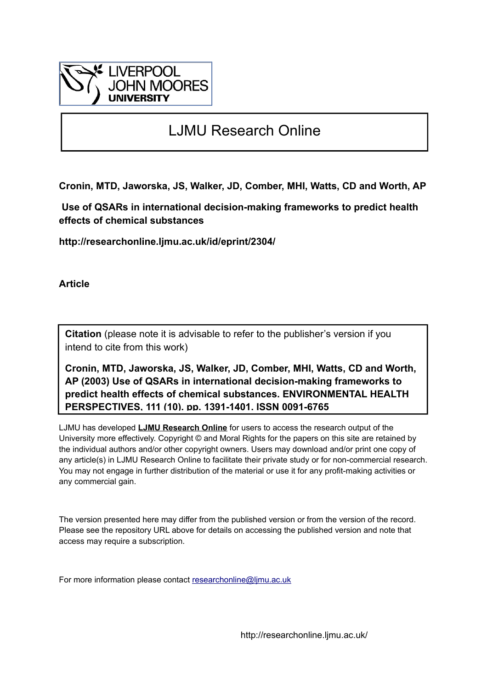

# LJMU Research Online

**Cronin, MTD, Jaworska, JS, Walker, JD, Comber, MHI, Watts, CD and Worth, AP**

 **Use of QSARs in international decision-making frameworks to predict health effects of chemical substances**

**http://researchonline.ljmu.ac.uk/id/eprint/2304/**

**Article**

**Citation** (please note it is advisable to refer to the publisher's version if you intend to cite from this work)

**Cronin, MTD, Jaworska, JS, Walker, JD, Comber, MHI, Watts, CD and Worth, AP (2003) Use of QSARs in international decision-making frameworks to predict health effects of chemical substances. ENVIRONMENTAL HEALTH PERSPECTIVES, 111 (10). pp. 1391-1401. ISSN 0091-6765** 

LJMU has developed **[LJMU Research Online](http://researchonline.ljmu.ac.uk/)** for users to access the research output of the University more effectively. Copyright © and Moral Rights for the papers on this site are retained by the individual authors and/or other copyright owners. Users may download and/or print one copy of any article(s) in LJMU Research Online to facilitate their private study or for non-commercial research. You may not engage in further distribution of the material or use it for any profit-making activities or any commercial gain.

The version presented here may differ from the published version or from the version of the record. Please see the repository URL above for details on accessing the published version and note that access may require a subscription.

For more information please contact [researchonline@ljmu.ac.uk](mailto:researchonline@ljmu.ac.uk)

http://researchonline.ljmu.ac.uk/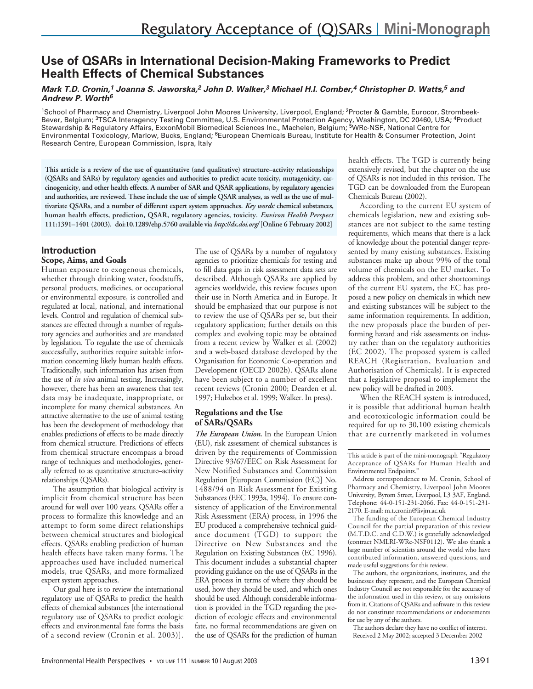# **Use of QSARs in International Decision-Making Frameworks to Predict Health Effects of Chemical Substances**

#### *Mark T.D. Cronin,1 Joanna S. Jaworska,2 John D. Walker,3 Michael H.I. Comber,4 Christopher D. Watts,5 and Andrew P. Worth6*

<sup>1</sup>School of Pharmacy and Chemistry, Liverpool John Moores University, Liverpool, England; <sup>2</sup>Procter & Gamble, Eurocor, Strombeek-Bever, Belgium; <sup>3</sup>TSCA Interagency Testing Committee, U.S. Environmental Protection Agency, Washington, DC 20460, USA; <sup>4</sup>Product Stewardship & Regulatory Affairs, ExxonMobil Biomedical Sciences Inc., Machelen, Belgium; 5WRc-NSF, National Centre for Environmental Toxicology, Marlow, Bucks, England; 6European Chemicals Bureau, Institute for Health & Consumer Protection, Joint Research Centre, European Commission, Ispra, Italy

**This article is a review of the use of quantitative (and qualitative) structure–activity relationships (QSARs and SARs) by regulatory agencies and authorities to predict acute toxicity, mutagenicity, carcinogenicity, and other health effects. A number of SAR and QSAR applications, by regulatory agencies and authorities, are reviewed. These include the use of simple QSAR analyses, as well as the use of multivariate QSARs, and a number of different expert system approaches.** *Key words:* **chemical substances, human health effects, prediction, QSAR, regulatory agencies, toxicity.** *Environ Health Perspect* **111:1391–1401 (2003). doi:10.1289/ehp.5760 available via** *http://dx.doi.org/* **[Online 6 February 2002]**

### **Introduction Scope, Aims, and Goals**

Human exposure to exogenous chemicals, whether through drinking water, foodstuffs, personal products, medicines, or occupational or environmental exposure, is controlled and regulated at local, national, and international levels. Control and regulation of chemical substances are effected through a number of regulatory agencies and authorities and are mandated by legislation. To regulate the use of chemicals successfully, authorities require suitable information concerning likely human health effects. Traditionally, such information has arisen from the use of *in vivo* animal testing. Increasingly, however, there has been an awareness that test data may be inadequate, inappropriate, or incomplete for many chemical substances. An attractive alternative to the use of animal testing has been the development of methodology that enables predictions of effects to be made directly from chemical structure. Predictions of effects from chemical structure encompass a broad range of techniques and methodologies, generally referred to as quantitative structure–activity relationships (QSARs).

The assumption that biological activity is implicit from chemical structure has been around for well over 100 years. QSARs offer a process to formalize this knowledge and an attempt to form some direct relationships between chemical structures and biological effects. QSARs enabling prediction of human health effects have taken many forms. The approaches used have included numerical models, true QSARs, and more formalized expert system approaches.

Our goal here is to review the international regulatory use of QSARs to predict the health effects of chemical substances [the international regulatory use of QSARs to predict ecologic effects and environmental fate forms the basis of a second review (Cronin et al. 2003)].

The use of QSARs by a number of regulatory agencies to prioritize chemicals for testing and to fill data gaps in risk assessment data sets are described. Although QSARs are applied by agencies worldwide, this review focuses upon their use in North America and in Europe. It should be emphasized that our purpose is not to review the use of QSARs per se, but their regulatory application; further details on this complex and evolving topic may be obtained from a recent review by Walker et al. (2002) and a web-based database developed by the Organisation for Economic Co-operation and Development (OECD 2002b). QSARs alone have been subject to a number of excellent recent reviews (Cronin 2000; Dearden et al. 1997; Hulzebos et al. 1999; Walker. In press).

#### **Regulations and the Use of SARs/QSARs**

*The European Union.* In the European Union (EU), risk assessment of chemical substances is driven by the requirements of Commission Directive 93/67/EEC on Risk Assessment for New Notified Substances and Commission Regulation [European Commission (EC)] No. 1488/94 on Risk Assessment for Existing Substances (EEC 1993a, 1994). To ensure consistency of application of the Environmental Risk Assessment (ERA) process, in 1996 the EU produced a comprehensive technical guidance document (TGD) to support the Directive on New Substances and the Regulation on Existing Substances (EC 1996). This document includes a substantial chapter providing guidance on the use of QSARs in the ERA process in terms of where they should be used, how they should be used, and which ones should be used. Although considerable information is provided in the TGD regarding the prediction of ecologic effects and environmental fate, no formal recommendations are given on the use of QSARs for the prediction of human

health effects. The TGD is currently being extensively revised, but the chapter on the use of QSARs is not included in this revision. The TGD can be downloaded from the European Chemicals Bureau (2002).

According to the current EU system of chemicals legislation, new and existing substances are not subject to the same testing requirements, which means that there is a lack of knowledge about the potential danger represented by many existing substances. Existing substances make up about 99% of the total volume of chemicals on the EU market. To address this problem, and other shortcomings of the current EU system, the EC has proposed a new policy on chemicals in which new and existing substances will be subject to the same information requirements. In addition, the new proposals place the burden of performing hazard and risk assessments on industry rather than on the regulatory authorities (EC 2002). The proposed system is called REACH (Registration, Evaluation and Authorisation of Chemicals). It is expected that a legislative proposal to implement the new policy will be drafted in 2003.

When the REACH system is introduced, it is possible that additional human health and ecotoxicologic information could be required for up to 30,100 existing chemicals that are currently marketed in volumes

This article is part of the mini-monograph "Regulatory Acceptance of QSARs for Human Health and Environmental Endpoints."

Address correspondence to M. Cronin, School of Pharmacy and Chemistry, Liverpool John Moores University, Byrom Street, Liverpool, L3 3AF, England. Telephone: 44-0-151-231-2066. Fax: 44-0-151-231- 2170. E-mail: m.t.cronin@livjm.ac.uk

The funding of the European Chemical Industry Council for the partial preparation of this review (M.T.D.C. and C.D.W.) is gratefully acknowledged (contract NMLRI-WRc-NSF0112). We also thank a large number of scientists around the world who have contributed information, answered questions, and made useful suggestions for this review.

The authors, the organizations, institutes, and the businesses they represent, and the European Chemical Industry Council are not responsible for the accuracy of the information used in this review, or any omissions from it. Citations of QSARs and software in this review do not constitute recommendations or endorsements for use by any of the authors.

The authors declare they have no conflict of interest. Received 2 May 2002; accepted 3 December 2002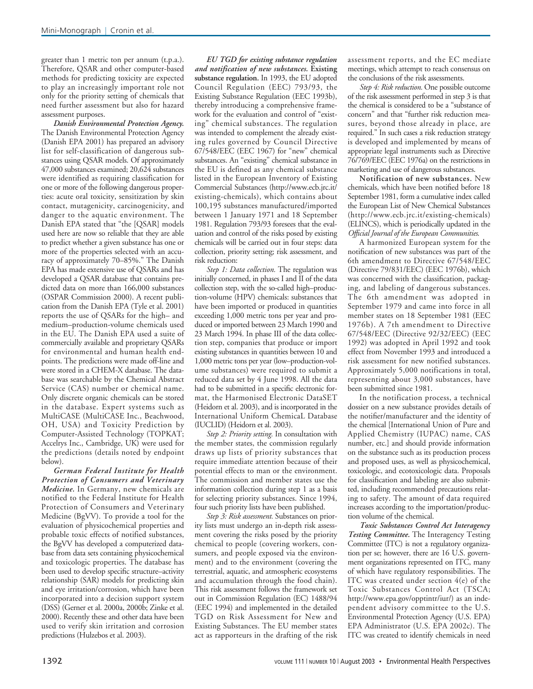greater than 1 metric ton per annum (t.p.a.). Therefore, QSAR and other computer-based methods for predicting toxicity are expected to play an increasingly important role not only for the priority setting of chemicals that need further assessment but also for hazard assessment purposes.

*Danish Environmental Protection Agency.* The Danish Environmental Protection Agency (Danish EPA 2001) has prepared an advisory list for self-classification of dangerous substances using QSAR models. Of approximately 47,000 substances examined; 20,624 substances were identified as requiring classification for one or more of the following dangerous properties: acute oral toxicity, sensitization by skin contact, mutagenicity, carcinogenicity, and danger to the aquatic environment. The Danish EPA stated that "the [QSAR] models used here are now so reliable that they are able to predict whether a given substance has one or more of the properties selected with an accuracy of approximately 70–85%." The Danish EPA has made extensive use of QSARs and has developed a QSAR database that contains predicted data on more than 166,000 substances (OSPAR Commission 2000). A recent publication from the Danish EPA (Tyle et al. 2001) reports the use of QSARs for the high– and medium–production-volume chemicals used in the EU. The Danish EPA used a suite of commercially available and proprietary QSARs for environmental and human health endpoints. The predictions were made off-line and were stored in a CHEM-X database. The database was searchable by the Chemical Abstract Service (CAS) number or chemical name. Only discrete organic chemicals can be stored in the database. Expert systems such as MultiCASE (MultiCASE Inc., Beachwood, OH, USA) and Toxicity Prediction by Computer-Assisted Technology (TOPKAT; Accelrys Inc., Cambridge, UK) were used for the predictions (details noted by endpoint below).

*German Federal Institute for Health Protection of Consumers and Veterinary Medicine.* In Germany, new chemicals are notified to the Federal Institute for Health Protection of Consumers and Veterinary Medicine (BgVV). To provide a tool for the evaluation of physicochemical properties and probable toxic effects of notified substances, the BgVV has developed a computerized database from data sets containing physicochemical and toxicologic properties. The database has been used to develop specific structure–activity relationship (SAR) models for predicting skin and eye irritation/corrosion, which have been incorporated into a decision support system (DSS) (Gerner et al. 2000a, 2000b; Zinke et al. 2000). Recently these and other data have been used to verify skin irritation and corrosion predictions (Hulzebos et al. 2003).

*EU TGD for existing substance regulation and notification of new substances.* **Existing substance regulation.** In 1993, the EU adopted Council Regulation (EEC) 793/93, the Existing Substance Regulation (EEC 1993b), thereby introducing a comprehensive framework for the evaluation and control of "existing" chemical substances. The regulation was intended to complement the already existing rules governed by Council Directive 67/548/EEC (EEC 1967) for "new" chemical substances. An "existing" chemical substance in the EU is defined as any chemical substance listed in the European Inventory of Existing Commercial Substances (http://www.ecb.jrc.it/ existing-chemicals), which contains about 100,195 substances manufactured/imported between 1 January 1971 and 18 September 1981. Regulation 793/93 foresees that the evaluation and control of the risks posed by existing chemicals will be carried out in four steps: data collection, priority setting; risk assessment, and risk reduction:

*Step 1: Data collection.* The regulation was initially concerned, in phases I and II of the data collection step, with the so-called high–production-volume (HPV) chemicals: substances that have been imported or produced in quantities exceeding 1,000 metric tons per year and produced or imported between 23 March 1990 and 23 March 1994. In phase III of the data collection step, companies that produce or import existing substances in quantities between 10 and 1,000 metric tons per year (low–production-volume substances) were required to submit a reduced data set by 4 June 1998. All the data had to be submitted in a specific electronic format, the Harmonised Electronic DataSET (Heidorn et al. 2003), and is incorporated in the International Uniform ChemicaL Database (IUCLID) (Heidorn et al. 2003).

*Step 2: Priority setting.* In consultation with the member states, the commission regularly draws up lists of priority substances that require immediate attention because of their potential effects to man or the environment. The commission and member states use the information collection during step 1 as a basis for selecting priority substances. Since 1994, four such priority lists have been published.

*Step 3: Risk assessment.* Substances on priority lists must undergo an in-depth risk assessment covering the risks posed by the priority chemical to people (covering workers, consumers, and people exposed via the environment) and to the environment (covering the terrestrial, aquatic, and atmospheric ecosystems and accumulation through the food chain). This risk assessment follows the framework set out in Commission Regulation (EC) 1488/94 (EEC 1994) and implemented in the detailed TGD on Risk Assessment for New and Existing Substances. The EU member states act as rapporteurs in the drafting of the risk

assessment reports, and the EC mediate meetings, which attempt to reach consensus on the conclusions of the risk assessments.

*Step 4: Risk reduction.* One possible outcome of the risk assessment performed in step 3 is that the chemical is considered to be a "substance of concern" and that "further risk reduction measures, beyond those already in place, are required." In such cases a risk reduction strategy is developed and implemented by means of appropriate legal instruments such as Directive 76/769/EEC (EEC 1976a) on the restrictions in marketing and use of dangerous substances.

**Notification of new substances.** New chemicals, which have been notified before 18 September 1981, form a cumulative index called the European List of New Chemical Substances (http://www.ecb.jrc.it/existing-chemicals) (ELINCS), which is periodically updated in the *Official Journal of the European Communities*.

A harmonized European system for the notification of new substances was part of the 6th amendment to Directive 67/548/EEC (Directive 79/831/EEC) (EEC 1976b), which was concerned with the classification, packaging, and labeling of dangerous substances. The 6th amendment was adopted in September 1979 and came into force in all member states on 18 September 1981 (EEC 1976b). A 7th amendment to Directive 67/548/EEC (Directive 92/32/EEC) (EEC 1992) was adopted in April 1992 and took effect from November 1993 and introduced a risk assessment for new notified substances. Approximately 5,000 notifications in total, representing about 3,000 substances, have been submitted since 1981.

In the notification process, a technical dossier on a new substance provides details of the notifier/manufacturer and the identity of the chemical [International Union of Pure and Applied Chemistry (IUPAC) name, CAS number, etc.] and should provide information on the substance such as its production process and proposed uses, as well as physicochemical, toxicologic, and ecotoxicologic data. Proposals for classification and labeling are also submitted, including recommended precautions relating to safety. The amount of data required increases according to the importation/production volume of the chemical.

*Toxic Substances Control Act Interagency Testing Committee.* The Interagency Testing Committee (ITC) is not a regulatory organization per se; however, there are 16 U.S. government organizations represented on ITC, many of which have regulatory responsibilities. The ITC was created under section 4(e) of the Toxic Substances Control Act (TSCA; http://www.epa.gov/opptintr/iur/) as an independent advisory committee to the U.S. Environmental Protection Agency (U.S. EPA) EPA Administrator (U.S. EPA 2002c). The ITC was created to identify chemicals in need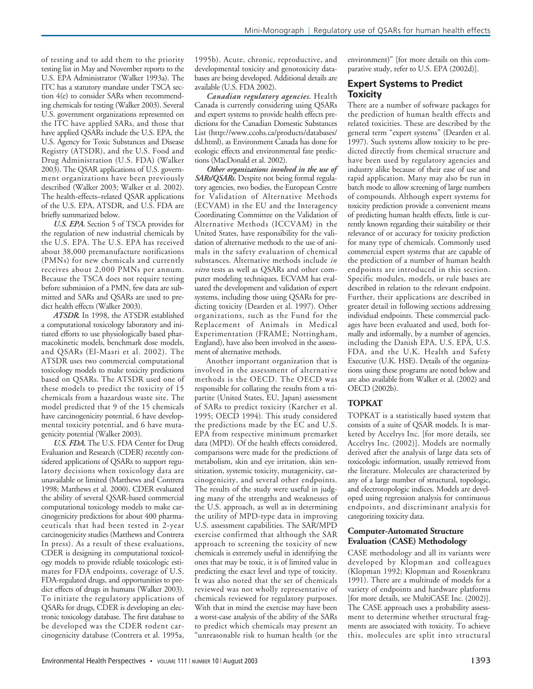of testing and to add them to the priority testing list in May and November reports to the U.S. EPA Administrator (Walker 1993a). The ITC has a statutory mandate under TSCA section 4(e) to consider SARs when recommending chemicals for testing (Walker 2003). Several U.S. government organizations represented on the ITC have applied SARs, and those that have applied QSARs include the U.S. EPA, the U.S. Agency for Toxic Substances and Disease Registry (ATSDR), and the U.S. Food and Drug Administration (U.S. FDA) (Walker 2003). The QSAR applications of U.S. government organizations have been previously described (Walker 2003; Walker et al. 2002). The health-effects–related QSAR applications of the U.S. EPA, ATSDR, and U.S. FDA are briefly summarized below.

*U.S. EPA.* Section 5 of TSCA provides for the regulation of new industrial chemicals by the U.S. EPA. The U.S. EPA has received about 38,000 premanufacture notifications (PMNs) for new chemicals and currently receives about 2,000 PMNs per annum. Because the TSCA does not require testing before submission of a PMN, few data are submitted and SARs and QSARs are used to predict health effects (Walker 2003).

*ATSDR.* In 1998, the ATSDR established a computational toxicology laboratory and initiated efforts to use physiologically based pharmacokinetic models, benchmark dose models, and QSARs (El-Masri et al. 2002). The ATSDR uses two commercial computational toxicology models to make toxicity predictions based on QSARs. The ATSDR used one of these models to predict the toxicity of 15 chemicals from a hazardous waste site. The model predicted that 9 of the 15 chemicals have carcinogenicity potential, 6 have developmental toxicity potential, and 6 have mutagenicity potential (Walker 2003).

*U.S. FDA.* The U.S. FDA Center for Drug Evaluation and Research (CDER) recently considered applications of QSARs to support regulatory decisions when toxicology data are unavailable or limited (Matthews and Contrera 1998; Matthews et al. 2000). CDER evaluated the ability of several QSAR-based commercial computational toxicology models to make carcinogenicity predictions for about 400 pharmaceuticals that had been tested in 2-year carcinogenicity studies (Matthews and Contrera In press). As a result of these evaluations, CDER is designing its computational toxicology models to provide reliable toxicologic estimates for FDA endpoints, coverage of U.S. FDA-regulated drugs, and opportunities to predict effects of drugs in humans (Walker 2003). To initiate the regulatory applications of QSARs for drugs, CDER is developing an electronic toxicology database. The first database to be developed was the CDER rodent carcinogenicity database (Contrera et al. 1995a,

1995b). Acute, chronic, reproductive, and developmental toxicity and genotoxicity databases are being developed. Additional details are available (U.S. FDA 2002).

*Canadian regulatory agencies.* Health Canada is currently considering using QSARs and expert systems to provide health effects predictions for the Canadian Domestic Substances List (http://www.ccohs.ca/products/databases/ dsl.html), as Environment Canada has done for ecologic effects and environmental fate predictions (MacDonald et al. 2002).

*Other organizations involved in the use of SARs/QSARs.* Despite not being formal regulatory agencies, two bodies, the European Centre for Validation of Alternative Methods (ECVAM) in the EU and the Interagency Coordinating Committee on the Validation of Alternative Methods (ICCVAM) in the United States, have responsibility for the validation of alternative methods to the use of animals in the safety evaluation of chemical substances. Alternative methods include *in vitro* tests as well as QSARs and other computer modeling techniques. ECVAM has evaluated the development and validation of expert systems, including those using QSARs for predicting toxicity (Dearden et al. 1997). Other organizations, such as the Fund for the Replacement of Animals in Medical Experimentation (FRAME; Nottingham, England), have also been involved in the assessment of alternative methods.

Another important organization that is involved in the assessment of alternative methods is the OECD. The OECD was responsible for collating the results from a tripartite (United States, EU, Japan) assessment of SARs to predict toxicity (Karcher et al. 1995; OECD 1994). This study considered the predictions made by the EC and U.S. EPA from respective minimum premarket data (MPD). Of the health effects considered, comparisons were made for the predictions of metabolism, skin and eye irritation, skin sensitization, systemic toxicity, mutagenicity, carcinogenicity, and several other endpoints. The results of the study were useful in judging many of the strengths and weaknesses of the U.S. approach, as well as in determining the utility of MPD-type data in improving U.S. assessment capabilities. The SAR/MPD exercise confirmed that although the SAR approach to screening the toxicity of new chemicals is extremely useful in identifying the ones that may be toxic, it is of limited value in predicting the exact level and type of toxicity. It was also noted that the set of chemicals reviewed was not wholly representative of chemicals reviewed for regulatory purposes. With that in mind the exercise may have been a worst-case analysis of the ability of the SARs to predict which chemicals may present an "unreasonable risk to human health (or the

environment)" [for more details on this comparative study, refer to U.S. EPA (2002d)].

### **Expert Systems to Predict Toxicity**

There are a number of software packages for the prediction of human health effects and related toxicities. These are described by the general term "expert systems" (Dearden et al. 1997). Such systems allow toxicity to be predicted directly from chemical structure and have been used by regulatory agencies and industry alike because of their ease of use and rapid application. Many may also be run in batch mode to allow screening of large numbers of compounds. Although expert systems for toxicity prediction provide a convenient means of predicting human health effects, little is currently known regarding their suitability or their relevance of or accuracy for toxicity prediction for many type of chemicals. Commonly used commercial expert systems that are capable of the prediction of a number of human health endpoints are introduced in this section. Specific modules, models, or rule bases are described in relation to the relevant endpoint. Further, their applications are described in greater detail in following sections addressing individual endpoints. These commercial packages have been evaluated and used, both formally and informally, by a number of agencies, including the Danish EPA, U.S. EPA, U.S. FDA, and the U.K. Health and Safety Executive (U.K. HSE). Details of the organizations using these programs are noted below and are also available from Walker et al. (2002) and OECD (2002b).

#### **TOPKAT**

TOPKAT is a statistically based system that consists of a suite of QSAR models. It is marketed by Accelrys Inc. [for more details, see Accelrys Inc. (2002)]. Models are normally derived after the analysis of large data sets of toxicologic information, usually retrieved from the literature. Molecules are characterized by any of a large number of structural, topologic, and electrotopologic indices. Models are developed using regression analysis for continuous endpoints, and discriminant analysis for categorizing toxicity data.

#### **Computer-Automated Structure Evaluation (CASE) Methodology**

CASE methodology and all its variants were developed by Klopman and colleagues (Klopman 1992; Klopman and Rosenkranz 1991). There are a multitude of models for a variety of endpoints and hardware platforms [for more details, see MultiCASE Inc. (2002)]. The CASE approach uses a probability assessment to determine whether structural fragments are associated with toxicity. To achieve this, molecules are split into structural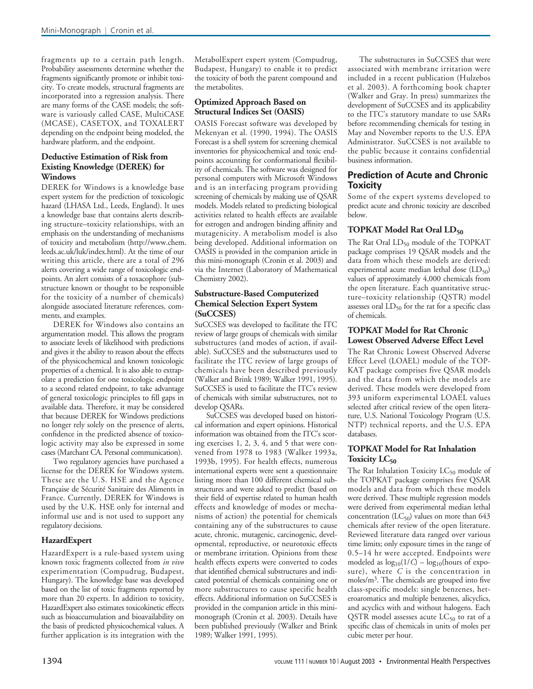fragments up to a certain path length. Probability assessments determine whether the fragments significantly promote or inhibit toxicity. To create models, structural fragments are incorporated into a regression analysis. There are many forms of the CASE models; the software is variously called CASE, MultiCASE (MCASE), CASETOX, and TOXALERT depending on the endpoint being modeled, the hardware platform, and the endpoint.

### **Deductive Estimation of Risk from Existing Knowledge (DEREK) for Windows**

DEREK for Windows is a knowledge base expert system for the prediction of toxicologic hazard (LHASA Ltd., Leeds, England). It uses a knowledge base that contains alerts describing structure–toxicity relationships, with an emphasis on the understanding of mechanisms of toxicity and metabolism (http://www.chem. leeds.ac.uk/luk/index.html). At the time of our writing this article, there are a total of 296 alerts covering a wide range of toxicologic endpoints. An alert consists of a toxacophore (substructure known or thought to be responsible for the toxicity of a number of chemicals) alongside associated literature references, comments, and examples.

DEREK for Windows also contains an argumentation model. This allows the program to associate levels of likelihood with predictions and gives it the ability to reason about the effects of the physicochemical and known toxicologic properties of a chemical. It is also able to extrapolate a prediction for one toxicologic endpoint to a second related endpoint, to take advantage of general toxicologic principles to fill gaps in available data. Therefore, it may be considered that because DEREK for Windows predictions no longer rely solely on the presence of alerts, confidence in the predicted absence of toxicologic activity may also be expressed in some cases (Marchant CA. Personal communication).

Two regulatory agencies have purchased a license for the DEREK for Windows system. These are the U.S. HSE and the Agence Française de Sécurité Sanitaire des Aliments in France. Currently, DEREK for Windows is used by the U.K. HSE only for internal and informal use and is not used to support any regulatory decisions.

### **HazardExpert**

HazardExpert is a rule-based system using known toxic fragments collected from *in vivo* experimentation (Compudrug, Budapest, Hungary). The knowledge base was developed based on the list of toxic fragments reported by more than 20 experts. In addition to toxicity, HazardExpert also estimates toxicokinetic effects such as bioaccumulation and bioavailability on the basis of predicted physicochemical values. A further application is its integration with the

MetabolExpert expert system (Compudrug, Budapest, Hungary) to enable it to predict the toxicity of both the parent compound and the metabolites.

### **Optimized Approach Based on Structural Indices Set (OASIS)**

OASIS Forecast software was developed by Mekenyan et al. (1990, 1994). The OASIS Forecast is a shell system for screening chemical inventories for physicochemical and toxic endpoints accounting for conformational flexibility of chemicals. The software was designed for personal computers with Microsoft Windows and is an interfacing program providing screening of chemicals by making use of QSAR models. Models related to predicting biological activities related to health effects are available for estrogen and androgen binding affinity and mutagenicity. A metabolism model is also being developed. Additional information on OASIS is provided in the companion article in this mini-monograph (Cronin et al. 2003) and via the Internet (Laboratory of Mathematical Chemistry 2002).

### **Substructure-Based Computerized Chemical Selection Expert System (SuCCSES)**

SuCCSES was developed to facilitate the ITC review of large groups of chemicals with similar substructures (and modes of action, if available). SuCCSES and the substructures used to facilitate the ITC review of large groups of chemicals have been described previously (Walker and Brink 1989; Walker 1991, 1995). SuCCSES is used to facilitate the ITC's review of chemicals with similar substructures, not to develop QSARs.

SuCCSES was developed based on historical information and expert opinions. Historical information was obtained from the ITC's scoring exercises 1, 2, 3, 4, and 5 that were convened from 1978 to 1983 (Walker 1993a, 1993b, 1995). For health effects, numerous international experts were sent a questionnaire listing more than 100 different chemical substructures and were asked to predict (based on their field of expertise related to human health effects and knowledge of modes or mechanisms of action) the potential for chemicals containing any of the substructures to cause acute, chronic, mutagenic, carcinogenic, developmental, reproductive, or neurotoxic effects or membrane irritation. Opinions from these health effects experts were converted to codes that identified chemical substructures and indicated potential of chemicals containing one or more substructures to cause specific health effects. Additional information on SuCCSES is provided in the companion article in this minimonograph (Cronin et al. 2003). Details have been published previously (Walker and Brink 1989; Walker 1991, 1995).

The substructures in SuCCSES that were associated with membrane irritation were included in a recent publication (Hulzebos et al. 2003). A forthcoming book chapter (Walker and Gray. In press) summarizes the development of SuCCSES and its applicability to the ITC's statutory mandate to use SARs before recommending chemicals for testing in May and November reports to the U.S. EPA Administrator. SuCCSES is not available to the public because it contains confidential business information.

### **Prediction of Acute and Chronic Toxicity**

Some of the expert systems developed to predict acute and chronic toxicity are described below.

### **TOPKAT Model Rat Oral LD<sub>50</sub>**

The Rat Oral LD<sub>50</sub> module of the TOPKAT package comprises 19 QSAR models and the data from which these models are derived: experimental acute median lethal dose  $(LD_{50})$ values of approximately 4,000 chemicals from the open literature. Each quantitative structure–toxicity relationship (QSTR) model assesses oral  $LD_{50}$  for the rat for a specific class of chemicals.

#### **TOPKAT Model for Rat Chronic Lowest Observed Adverse Effect Level**

The Rat Chronic Lowest Observed Adverse Effect Level (LOAEL) module of the TOP-KAT package comprises five QSAR models and the data from which the models are derived. These models were developed from 393 uniform experimental LOAEL values selected after critical review of the open literature, U.S. National Toxicology Program (U.S. NTP) technical reports, and the U.S. EPA databases.

### **TOPKAT Model for Rat Inhalation** Toxicity LC<sub>50</sub>

The Rat Inhalation Toxicity  $LC_{50}$  module of the TOPKAT package comprises five QSAR models and data from which these models were derived. These multiple regression models were derived from experimental median lethal concentration  $(LC_{50})$  values on more than 643 chemicals after review of the open literature. Reviewed literature data ranged over various time limits; only exposure times in the range of 0.5–14 hr were accepted. Endpoints were modeled as  $log_{10}(1/C) - log_{10}(hours of expo$ sure), where *C* is the concentration in moles/ $m<sup>3</sup>$ . The chemicals are grouped into five class-specific models: single benzenes, heteroaromatics and multiple benzenes, alicyclics, and acyclics with and without halogens. Each QSTR model assesses acute  $LC_{50}$  to rat of a specific class of chemicals in units of moles per cubic meter per hour.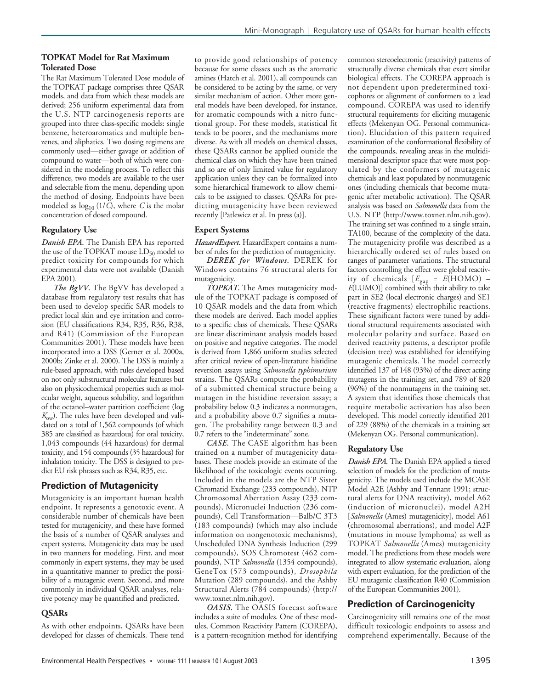### **TOPKAT Model for Rat Maximum Tolerated Dose**

The Rat Maximum Tolerated Dose module of the TOPKAT package comprises three QSAR models, and data from which these models are derived; 256 uniform experimental data from the U.S. NTP carcinogenesis reports are grouped into three class-specific models: single benzene, heteroaromatics and multiple benzenes, and aliphatics. Two dosing regimens are commonly used—either gavage or addition of compound to water—both of which were considered in the modeling process. To reflect this difference, two models are available to the user and selectable from the menu, depending upon the method of dosing. Endpoints have been modeled as  $log_{10} (1/\tilde{C})$ , where *C* is the molar concentration of dosed compound.

#### **Regulatory Use**

*Danish EPA.* The Danish EPA has reported the use of the TOPKAT mouse  $LD_{50}$  model to predict toxicity for compounds for which experimental data were not available (Danish EPA 2001).

*The BgVV.* The BgVV has developed a database from regulatory test results that has been used to develop specific SAR models to predict local skin and eye irritation and corrosion (EU classifications R34, R35, R36, R38, and R41) (Commission of the European Communities 2001). These models have been incorporated into a DSS (Gerner et al. 2000a, 2000b; Zinke et al. 2000). The DSS is mainly a rule-based approach, with rules developed based on not only substructural molecular features but also on physicochemical properties such as molecular weight, aqueous solubility, and logarithm of the octanol–water partition coefficient (log  $K_{ow}$ ). The rules have been developed and validated on a total of 1,562 compounds (of which 385 are classified as hazardous) for oral toxicity, 1,043 compounds (44 hazardous) for dermal toxicity, and 154 compounds (35 hazardous) for inhalation toxicity. The DSS is designed to predict EU risk phrases such as R34, R35, etc.

### **Prediction of Mutagenicity**

Mutagenicity is an important human health endpoint. It represents a genotoxic event. A considerable number of chemicals have been tested for mutagenicity, and these have formed the basis of a number of QSAR analyses and expert systems. Mutagenicity data may be used in two manners for modeling. First, and most commonly in expert systems, they may be used in a quantitative manner to predict the possibility of a mutagenic event. Second, and more commonly in individual QSAR analyses, relative potency may be quantified and predicted.

#### **QSARs**

As with other endpoints, QSARs have been developed for classes of chemicals. These tend to provide good relationships of potency because for some classes such as the aromatic amines (Hatch et al. 2001), all compounds can be considered to be acting by the same, or very similar mechanism of action. Other more general models have been developed, for instance, for aromatic compounds with a nitro functional group. For these models, statistical fit tends to be poorer, and the mechanisms more diverse. As with all models on chemical classes, these QSARs cannot be applied outside the chemical class on which they have been trained and so are of only limited value for regulatory application unless they can be formalized into some hierarchical framework to allow chemicals to be assigned to classes. QSARs for predicting mutagenicity have been reviewed recently [Patlewicz et al. In press (a)].

### **Expert Systems**

*HazardExpert.* HazardExpert contains a number of rules for the prediction of mutagenicity.

*DEREK for Windows.* DEREK for Windows contains 76 structural alerts for mutagenicity.

*TOPKAT.* The Ames mutagenicity module of the TOPKAT package is composed of 10 QSAR models and the data from which these models are derived. Each model applies to a specific class of chemicals. These QSARs are linear discriminant analysis models based on positive and negative categories. The model is derived from 1,866 uniform studies selected after critical review of open-literature histidine reversion assays using *Salmonella typhimurium* strains. The QSARs compute the probability of a submitted chemical structure being a mutagen in the histidine reversion assay; a probability below 0.3 indicates a nonmutagen, and a probability above 0.7 signifies a mutagen. The probability range between 0.3 and 0.7 refers to the "indeterminate" zone.

*CASE.* The CASE algorithm has been trained on a number of mutagenicity databases. These models provide an estimate of the likelihood of the toxicologic events occurring. Included in the models are the NTP Sister Chromatid Exchange (233 compounds), NTP Chromosomal Aberration Assay (233 compounds), Micronuclei Induction (236 compounds), Cell Transformation—Balb/C 3T3 (183 compounds) (which may also include information on nongenotoxic mechanisms), Unscheduled DNA Synthesis Induction (299 compounds), SOS Chromotest (462 compounds), NTP *Salmonella* (1354 compounds), GeneTox (573 compounds), *Drosophila* Mutation (289 compounds), and the Ashby Structural Alerts (784 compounds) (http:// www.toxnet.nlm.nih.gov).

*OASIS.* The OASIS forecast software includes a suite of modules. One of these modules, Common Reactivity Pattern (COREPA), is a pattern-recognition method for identifying

common stereoelectronic (reactivity) patterns of structurally diverse chemicals that exert similar biological effects. The COREPA approach is not dependent upon predetermined toxicophores or alignment of conformers to a lead compound. COREPA was used to identify structural requirements for eliciting mutagenic effects (Mekenyan OG. Personal communication). Elucidation of this pattern required examination of the conformational flexibility of the compounds, revealing areas in the multidimensional descriptor space that were most populated by the conformers of mutagenic chemicals and least populated by nonmutagenic ones (including chemicals that become mutagenic after metabolic activation). The QSAR analysis was based on *Salmonella* data from the U.S. NTP (http://www.toxnet.nlm.nih.gov). The training set was confined to a single strain, TA100, because of the complexity of the data. The mutagenicity profile was described as a hierarchically ordered set of rules based on ranges of parameter variations. The structural factors controlling the effect were global reactivity of chemicals [*E*gap = *E*(HOMO) – *E*(LUMO)] combined with their ability to take part in SE2 (local electronic charges) and SE1 (reactive fragments) electrophilic reactions. These significant factors were tuned by additional structural requirements associated with molecular polarity and surface. Based on derived reactivity patterns, a descriptor profile (decision tree) was established for identifying mutagenic chemicals. The model correctly identified 137 of 148 (93%) of the direct acting mutagens in the training set, and 789 of 820 (96%) of the nonmutagens in the training set. A system that identifies those chemicals that require metabolic activation has also been developed. This model correctly identified 201 of 229 (88%) of the chemicals in a training set (Mekenyan OG. Personal communication).

#### **Regulatory Use**

*Danish EPA.* The Danish EPA applied a tiered selection of models for the prediction of mutagenicity. The models used include the MCASE Model A2E (Ashby and Tennant 1991; structural alerts for DNA reactivity), model A62 (induction of micronuclei), model A2H [*Salmonella* (Ames) mutagenicity], model A61 (chromosomal aberrations), and model A2F (mutations in mouse lymphoma) as well as TOPKAT *Salmonella* (Ames) mutagenicity model. The predictions from these models were integrated to allow systematic evaluation, along with expert evaluation, for the prediction of the EU mutagenic classification R40 (Commission of the European Communities 2001).

### **Prediction of Carcinogenicity**

Carcinogenicity still remains one of the most difficult toxicologic endpoints to assess and comprehend experimentally. Because of the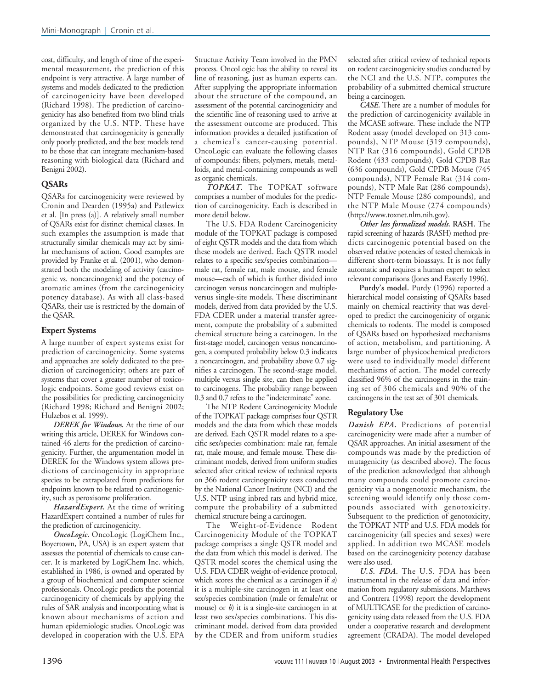cost, difficulty, and length of time of the experimental measurement, the prediction of this endpoint is very attractive. A large number of systems and models dedicated to the prediction of carcinogenicity have been developed (Richard 1998). The prediction of carcinogenicity has also benefited from two blind trials organized by the U.S. NTP. These have demonstrated that carcinogenicity is generally only poorly predicted, and the best models tend to be those that can integrate mechanism-based reasoning with biological data (Richard and Benigni 2002).

### **QSARs**

QSARs for carcinogenicity were reviewed by Cronin and Dearden (1995a) and Patlewicz et al. [In press (a)]. A relatively small number of QSARs exist for distinct chemical classes. In such examples the assumption is made that structurally similar chemicals may act by similar mechanisms of action. Good examples are provided by Franke et al. (2001), who demonstrated both the modeling of activity (carcinogenic vs. noncarcinogenic) and the potency of aromatic amines (from the carcinogenicity potency database). As with all class-based QSARs, their use is restricted by the domain of the QSAR.

### **Expert Systems**

A large number of expert systems exist for prediction of carcinogenicity. Some systems and approaches are solely dedicated to the prediction of carcinogenicity; others are part of systems that cover a greater number of toxicologic endpoints. Some good reviews exist on the possibilities for predicting carcinogenicity (Richard 1998; Richard and Benigni 2002; Hulzebos et al. 1999).

*DEREK for Windows.* At the time of our writing this article, DEREK for Windows contained 46 alerts for the prediction of carcinogenicity. Further, the argumentation model in DEREK for the Windows system allows predictions of carcinogenicity in appropriate species to be extrapolated from predictions for endpoints known to be related to carcinogenicity, such as peroxisome proliferation.

*HazardExpert.* At the time of writing HazardExpert contained a number of rules for the prediction of carcinogenicity.

*OncoLogic.* OncoLogic (LogiChem Inc., Boyertown, PA, USA) is an expert system that assesses the potential of chemicals to cause cancer. It is marketed by LogiChem Inc. which, established in 1986, is owned and operated by a group of biochemical and computer science professionals. OncoLogic predicts the potential carcinogenicity of chemicals by applying the rules of SAR analysis and incorporating what is known about mechanisms of action and human epidemiologic studies. OncoLogic was developed in cooperation with the U.S. EPA

Structure Activity Team involved in the PMN process. OncoLogic has the ability to reveal its line of reasoning, just as human experts can. After supplying the appropriate information about the structure of the compound, an assessment of the potential carcinogenicity and the scientific line of reasoning used to arrive at the assessment outcome are produced. This information provides a detailed justification of a chemical's cancer-causing potential. OncoLogic can evaluate the following classes of compounds: fibers, polymers, metals, metalloids, and metal-containing compounds as well as organic chemicals.

*TOPKAT.* The TOPKAT software comprises a number of modules for the prediction of carcinogenicity. Each is described in more detail below.

The U.S. FDA Rodent Carcinogenicity module of the TOPKAT package is composed of eight QSTR models and the data from which these models are derived. Each QSTR model relates to a specific sex/species combination male rat, female rat, male mouse, and female mouse—each of which is further divided into carcinogen versus noncarcinogen and multipleversus single-site models. These discriminant models, derived from data provided by the U.S. FDA CDER under a material transfer agreement, compute the probability of a submitted chemical structure being a carcinogen. In the first-stage model, carcinogen versus noncarcinogen, a computed probability below 0.3 indicates a noncarcinogen, and probability above 0.7 signifies a carcinogen. The second-stage model, multiple versus single site, can then be applied to carcinogens. The probability range between 0.3 and 0.7 refers to the "indeterminate" zone.

The NTP Rodent Carcinogenicity Module of the TOPKAT package comprises four QSTR models and the data from which these models are derived. Each QSTR model relates to a specific sex/species combination: male rat, female rat, male mouse, and female mouse. These discriminant models, derived from uniform studies selected after critical review of technical reports on 366 rodent carcinogenicity tests conducted by the National Cancer Institute (NCI) and the U.S. NTP using inbred rats and hybrid mice, compute the probability of a submitted chemical structure being a carcinogen.

The Weight-of-Evidence Rodent Carcinogenicity Module of the TOPKAT package comprises a single QSTR model and the data from which this model is derived. The QSTR model scores the chemical using the U.S. FDA CDER weight-of-evidence protocol, which scores the chemical as a carcinogen if *a*) it is a multiple-site carcinogen in at least one sex/species combination (male or female/rat or mouse) or *b*) it is a single-site carcinogen in at least two sex/species combinations. This discriminant model, derived from data provided by the CDER and from uniform studies

selected after critical review of technical reports on rodent carcinogenicity studies conducted by the NCI and the U.S. NTP, computes the probability of a submitted chemical structure being a carcinogen.

*CASE.* There are a number of modules for the prediction of carcinogenicity available in the MCASE software. These include the NTP Rodent assay (model developed on 313 compounds), NTP Mouse (319 compounds), NTP Rat (316 compounds), Gold CPDB Rodent (433 compounds), Gold CPDB Rat (636 compounds), Gold CPDB Mouse (745 compounds), NTP Female Rat (314 compounds), NTP Male Rat (286 compounds), NTP Female Mouse (286 compounds), and the NTP Male Mouse (274 compounds) (http://www.toxnet.nlm.nih.gov).

*Other less formalized models.* **RASH.** The rapid screening of hazards (RASH) method predicts carcinogenic potential based on the observed relative potencies of tested chemicals in different short-term bioassays. It is not fully automatic and requires a human expert to select relevant comparisons (Jones and Easterly 1996).

Purdy's model. Purdy (1996) reported a hierarchical model consisting of QSARs based mainly on chemical reactivity that was developed to predict the carcinogenicity of organic chemicals to rodents. The model is composed of QSARs based on hypothesized mechanisms of action, metabolism, and partitioning. A large number of physicochemical predictors were used to individually model different mechanisms of action. The model correctly classified 96% of the carcinogens in the training set of 306 chemicals and 90% of the carcinogens in the test set of 301 chemicals.

### **Regulatory Use**

*Danish EPA.* Predictions of potential carcinogenicity were made after a number of QSAR approaches. An initial assessment of the compounds was made by the prediction of mutagenicity (as described above). The focus of the prediction acknowledged that although many compounds could promote carcinogenicity via a nongenotoxic mechanism, the screening would identify only those compounds associated with genotoxicity. Subsequent to the prediction of genotoxicity, the TOPKAT NTP and U.S. FDA models for carcinogenicity (all species and sexes) were applied. In addition two MCASE models based on the carcinogenicity potency database were also used.

*U.S. FDA.* The U.S. FDA has been instrumental in the release of data and information from regulatory submissions. Matthews and Contrera (1998) report the development of MULTICASE for the prediction of carcinogenicity using data released from the U.S. FDA under a cooperative research and development agreement (CRADA). The model developed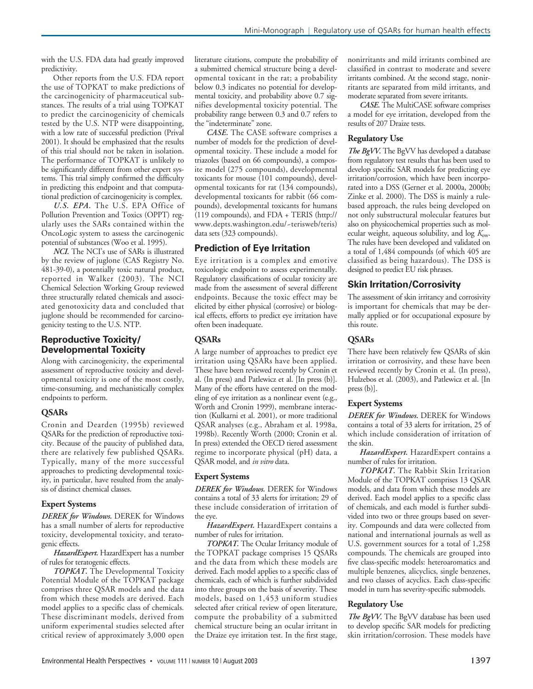with the U.S. FDA data had greatly improved predictivity.

Other reports from the U.S. FDA report the use of TOPKAT to make predictions of the carcinogenicity of pharmaceutical substances. The results of a trial using TOPKAT to predict the carcinogenicity of chemicals tested by the U.S. NTP were disappointing, with a low rate of successful prediction (Prival 2001). It should be emphasized that the results of this trial should not be taken in isolation. The performance of TOPKAT is unlikely to be significantly different from other expert systems. This trial simply confirmed the difficulty in predicting this endpoint and that computational prediction of carcinogenicity is complex.

*U.S. EPA.* The U.S. EPA Office of Pollution Prevention and Toxics (OPPT) regularly uses the SARs contained within the OncoLogic system to assess the carcinogenic potential of substances (Woo et al. 1995).

*NCI.* The NCI's use of SARs is illustrated by the review of juglone (CAS Registry No. 481-39-0), a potentially toxic natural product, reported in Walker (2003). The NCI Chemical Selection Working Group reviewed three structurally related chemicals and associated genotoxicity data and concluded that juglone should be recommended for carcinogenicity testing to the U.S. NTP.

# **Reproductive Toxicity/ Developmental Toxicity**

Along with carcinogenicity, the experimental assessment of reproductive toxicity and developmental toxicity is one of the most costly, time-consuming, and mechanistically complex endpoints to perform.

### **QSARs**

Cronin and Dearden (1995b) reviewed QSARs for the prediction of reproductive toxicity. Because of the paucity of published data, there are relatively few published QSARs. Typically, many of the more successful approaches to predicting developmental toxicity, in particular, have resulted from the analysis of distinct chemical classes.

### **Expert Systems**

*DEREK for Windows.* DEREK for Windows has a small number of alerts for reproductive toxicity, developmental toxicity, and teratogenic effects.

*HazardExpert.* HazardExpert has a number of rules for teratogenic effects.

*TOPKAT.* The Developmental Toxicity Potential Module of the TOPKAT package comprises three QSAR models and the data from which these models are derived. Each model applies to a specific class of chemicals. These discriminant models, derived from uniform experimental studies selected after critical review of approximately 3,000 open literature citations, compute the probability of a submitted chemical structure being a developmental toxicant in the rat; a probability below 0.3 indicates no potential for developmental toxicity, and probability above 0.7 signifies developmental toxicity potential. The probability range between 0.3 and 0.7 refers to the "indeterminate" zone.

*CASE.* The CASE software comprises a number of models for the prediction of developmental toxicity. These include a model for triazoles (based on 66 compounds), a composite model (275 compounds), developmental toxicants for mouse (101 compounds), developmental toxicants for rat (134 compounds), developmental toxicants for rabbit (66 compounds), developmental toxicants for humans (119 compounds), and FDA + TERIS (http:// www.depts.washington.edu/~terisweb/teris) data sets (323 compounds).

### **Prediction of Eye Irritation**

Eye irritation is a complex and emotive toxicologic endpoint to assess experimentally. Regulatory classifications of ocular toxicity are made from the assessment of several different endpoints. Because the toxic effect may be elicited by either physical (corrosive) or biological effects, efforts to predict eye irritation have often been inadequate.

### **QSARs**

A large number of approaches to predict eye irritation using QSARs have been applied. These have been reviewed recently by Cronin et al. (In press) and Patlewicz et al. [In press (b)]. Many of the efforts have centered on the modeling of eye irritation as a nonlinear event (e.g., Worth and Cronin 1999), membrane interaction (Kulkarni et al. 2001), or more traditional QSAR analyses (e.g., Abraham et al. 1998a, 1998b). Recently Worth (2000; Cronin et al. In press) extended the OECD tiered assessment regime to incorporate physical (pH) data, a QSAR model, and *in vitro* data.

### **Expert Systems**

*DEREK for Windows.* DEREK for Windows contains a total of 33 alerts for irritation; 29 of these include consideration of irritation of the eye.

*HazardExpert.* HazardExpert contains a number of rules for irritation.

*TOPKAT.* The Ocular Irritancy module of the TOPKAT package comprises 15 QSARs and the data from which these models are derived. Each model applies to a specific class of chemicals, each of which is further subdivided into three groups on the basis of severity. These models, based on 1,453 uniform studies selected after critical review of open literature, compute the probability of a submitted chemical structure being an ocular irritant in the Draize eye irritation test. In the first stage,

nonirritants and mild irritants combined are classified in contrast to moderate and severe irritants combined. At the second stage, nonirritants are separated from mild irritants, and moderate separated from severe irritants.

*CASE.* The MultiCASE software comprises a model for eye irritation, developed from the results of 207 Draize tests.

### **Regulatory Use**

*The BgVV.* The BgVV has developed a database from regulatory test results that has been used to develop specific SAR models for predicting eye irritation/corrosion, which have been incorporated into a DSS (Gerner et al. 2000a, 2000b; Zinke et al. 2000). The DSS is mainly a rulebased approach, the rules being developed on not only substructural molecular features but also on physicochemical properties such as molecular weight, aqueous solubility, and log  $K_{ow}$ . The rules have been developed and validated on a total of 1,484 compounds (of which 405 are classified as being hazardous). The DSS is designed to predict EU risk phrases.

# **Skin Irritation/Corrosivity**

The assessment of skin irritancy and corrosivity is important for chemicals that may be dermally applied or for occupational exposure by this route.

### **QSARs**

There have been relatively few QSARs of skin irritation or corrosivity, and these have been reviewed recently by Cronin et al. (In press), Hulzebos et al. (2003), and Patlewicz et al. [In press (b)].

### **Expert Systems**

*DEREK for Windows.* DEREK for Windows contains a total of 33 alerts for irritation, 25 of which include consideration of irritation of the skin.

*HazardExpert.* HazardExpert contains a number of rules for irritation.

*TOPKAT.* The Rabbit Skin Irritation Module of the TOPKAT comprises 13 QSAR models, and data from which these models are derived. Each model applies to a specific class of chemicals, and each model is further subdivided into two or three groups based on severity. Compounds and data were collected from national and international journals as well as U.S. government sources for a total of 1,258 compounds. The chemicals are grouped into five class-specific models: heteroaromatics and multiple benzenes, alicyclics, single benzenes, and two classes of acyclics. Each class-specific model in turn has severity-specific submodels.

### **Regulatory Use**

*The BgVV.* The BgVV database has been used to develop specific SAR models for predicting skin irritation/corrosion. These models have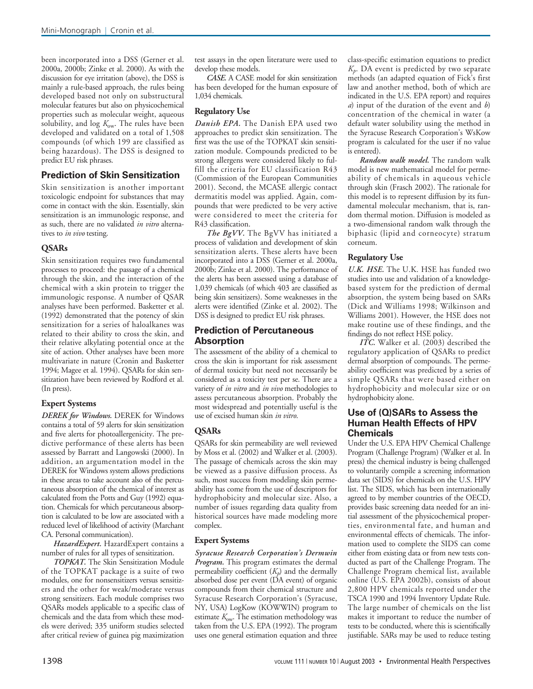been incorporated into a DSS (Gerner et al. 2000a, 2000b; Zinke et al. 2000). As with the discussion for eye irritation (above), the DSS is mainly a rule-based approach, the rules being developed based not only on substructural molecular features but also on physicochemical properties such as molecular weight, aqueous solubility, and log *K*ow. The rules have been developed and validated on a total of 1,508 compounds (of which 199 are classified as being hazardous). The DSS is designed to predict EU risk phrases.

### **Prediction of Skin Sensitization**

Skin sensitization is another important toxicologic endpoint for substances that may come in contact with the skin. Essentially, skin sensitization is an immunologic response, and as such, there are no validated *in vitro* alternatives to *in vivo* testing.

### **QSARs**

Skin sensitization requires two fundamental processes to proceed: the passage of a chemical through the skin, and the interaction of the chemical with a skin protein to trigger the immunologic response. A number of QSAR analyses have been performed. Basketter et al. (1992) demonstrated that the potency of skin sensitization for a series of haloalkanes was related to their ability to cross the skin, and their relative alkylating potential once at the site of action. Other analyses have been more multivariate in nature (Cronin and Basketter 1994; Magee et al. 1994). QSARs for skin sensitization have been reviewed by Rodford et al. (In press).

#### **Expert Systems**

*DEREK for Windows.* DEREK for Windows contains a total of 59 alerts for skin sensitization and five alerts for photoallergenicity. The predictive performance of these alerts has been assessed by Barratt and Langowski (2000). In addition, an argumentation model in the DEREK for Windows system allows predictions in these areas to take account also of the percutaneous absorption of the chemical of interest as calculated from the Potts and Guy (1992) equation. Chemicals for which percutaneous absorption is calculated to be low are associated with a reduced level of likelihood of activity (Marchant CA. Personal communication).

*HazardExpert.* HazardExpert contains a number of rules for all types of sensitization.

*TOPKAT.* The Skin Sensitization Module of the TOPKAT package is a suite of two modules, one for nonsensitizers versus sensitizers and the other for weak/moderate versus strong sensitizers. Each module comprises two QSARs models applicable to a specific class of chemicals and the data from which these models were derived; 335 uniform studies selected after critical review of guinea pig maximization

test assays in the open literature were used to develop these models.

*CASE.* A CASE model for skin sensitization has been developed for the human exposure of 1,034 chemicals.

### **Regulatory Use**

*Danish EPA.* The Danish EPA used two approaches to predict skin sensitization. The first was the use of the TOPKAT skin sensitization module. Compounds predicted to be strong allergens were considered likely to fulfill the criteria for EU classification R43 (Commission of the European Communities 2001). Second, the MCASE allergic contact dermatitis model was applied. Again, compounds that were predicted to be very active were considered to meet the criteria for R43 classification.

*The BgVV.* The BgVV has initiated a process of validation and development of skin sensitization alerts. These alerts have been incorporated into a DSS (Gerner et al. 2000a, 2000b; Zinke et al. 2000). The performance of the alerts has been assessed using a database of 1,039 chemicals (of which 403 are classified as being skin sensitizers). Some weaknesses in the alerts were identified (Zinke et al. 2002). The DSS is designed to predict EU risk phrases.

### **Prediction of Percutaneous Absorption**

The assessment of the ability of a chemical to cross the skin is important for risk assessment of dermal toxicity but need not necessarily be considered as a toxicity test per se. There are a variety of *in vitro* and *in vivo* methodologies to assess percutaneous absorption. Probably the most widespread and potentially useful is the use of excised human skin *in vitro*.

### **QSARs**

QSARs for skin permeability are well reviewed by Moss et al. (2002) and Walker et al. (2003). The passage of chemicals across the skin may be viewed as a passive diffusion process. As such, most success from modeling skin permeability has come from the use of descriptors for hydrophobicity and molecular size. Also, a number of issues regarding data quality from historical sources have made modeling more complex.

### **Expert Systems**

*Syracuse Research Corporation's Dermwin Program.* This program estimates the dermal permeability coefficient  $(K_n)$  and the dermally absorbed dose per event (DA event) of organic compounds from their chemical structure and Syracuse Research Corporation's (Syracuse, NY, USA) LogKow (KOWWIN) program to estimate *K*ow. The estimation methodology was taken from the U.S. EPA (1992). The program uses one general estimation equation and three

class-specific estimation equations to predict *K<sub>p</sub>*. DA event is predicted by two separate methods (an adapted equation of Fick's first law and another method, both of which are indicated in the U.S. EPA report) and requires *a*) input of the duration of the event and *b*) concentration of the chemical in water (a default water solubility using the method in the Syracuse Research Corporation's WsKow program is calculated for the user if no value is entered).

*Random walk model.* The random walk model is new mathematical model for permeability of chemicals in aqueous vehicle through skin (Frasch 2002). The rationale for this model is to represent diffusion by its fundamental molecular mechanism, that is, random thermal motion. Diffusion is modeled as a two-dimensional random walk through the biphasic (lipid and corneocyte) stratum corneum.

### **Regulatory Use**

*U.K. HSE.* The U.K. HSE has funded two studies into use and validation of a knowledgebased system for the prediction of dermal absorption, the system being based on SARs (Dick and Williams 1998; Wilkinson and Williams 2001). However, the HSE does not make routine use of these findings, and the findings do not reflect HSE policy.

*ITC.* Walker et al. (2003) described the regulatory application of QSARs to predict dermal absorption of compounds. The permeability coefficient was predicted by a series of simple QSARs that were based either on hydrophobicity and molecular size or on hydrophobicity alone.

### **Use of (Q)SARs to Assess the Human Health Effects of HPV Chemicals**

Under the U.S. EPA HPV Chemical Challenge Program (Challenge Program) (Walker et al. In press) the chemical industry is being challenged to voluntarily compile a screening information data set (SIDS) for chemicals on the U.S. HPV list. The SIDS, which has been internationally agreed to by member countries of the OECD, provides basic screening data needed for an initial assessment of the physicochemical properties, environmental fate, and human and environmental effects of chemicals. The information used to complete the SIDS can come either from existing data or from new tests conducted as part of the Challenge Program. The Challenge Program chemical list, available online (U.S. EPA 2002b), consists of about 2,800 HPV chemicals reported under the TSCA 1990 and 1994 Inventory Update Rule. The large number of chemicals on the list makes it important to reduce the number of tests to be conducted, where this is scientifically justifiable. SARs may be used to reduce testing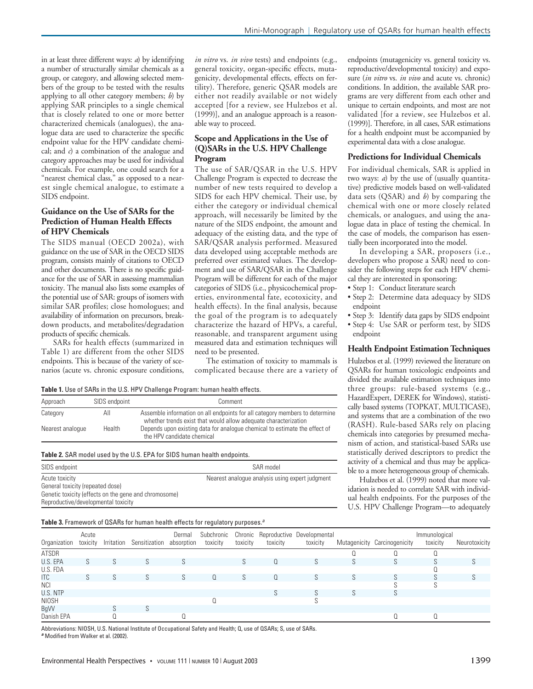in at least three different ways: *a*) by identifying a number of structurally similar chemicals as a group, or category, and allowing selected members of the group to be tested with the results applying to all other category members; *b*) by applying SAR principles to a single chemical that is closely related to one or more better characterized chemicals (analogues), the analogue data are used to characterize the specific endpoint value for the HPV candidate chemical; and *c*) a combination of the analogue and category approaches may be used for individual chemicals. For example, one could search for a "nearest chemical class," as opposed to a nearest single chemical analogue, to estimate a SIDS endpoint.

### **Guidance on the Use of SARs for the Prediction of Human Health Effects of HPV Chemicals**

The SIDS manual (OECD 2002a), with guidance on the use of SAR in the OECD SIDS program, consists mainly of citations to OECD and other documents. There is no specific guidance for the use of SAR in assessing mammalian toxicity. The manual also lists some examples of the potential use of SAR: groups of isomers with similar SAR profiles; close homologues; and availability of information on precursors, breakdown products, and metabolites/degradation products of specific chemicals.

SARs for health effects (summarized in Table 1) are different from the other SIDS endpoints. This is because of the variety of scenarios (acute vs. chronic exposure conditions,

*in vitro* vs. *in vivo* tests) and endpoints (e.g., general toxicity, organ-specific effects, mutagenicity, developmental effects, effects on fertility). Therefore, generic QSAR models are either not readily available or not widely accepted [for a review, see Hulzebos et al. (1999)], and an analogue approach is a reasonable way to proceed.

### **Scope and Applications in the Use of (Q)SARs in the U.S. HPV Challenge Program**

The use of SAR/QSAR in the U.S. HPV Challenge Program is expected to decrease the number of new tests required to develop a SIDS for each HPV chemical. Their use, by either the category or individual chemical approach, will necessarily be limited by the nature of the SIDS endpoint, the amount and adequacy of the existing data, and the type of SAR/QSAR analysis performed. Measured data developed using acceptable methods are preferred over estimated values. The development and use of SAR/QSAR in the Challenge Program will be different for each of the major categories of SIDS (i.e., physicochemical properties, environmental fate, ecotoxicity, and health effects). In the final analysis, because the goal of the program is to adequately characterize the hazard of HPVs, a careful, reasonable, and transparent argument using measured data and estimation techniques will need to be presented.

The estimation of toxicity to mammals is complicated because there are a variety of

endpoints (mutagenicity vs. general toxicity vs. reproductive/developmental toxicity) and exposure (*in vitro* vs. *in vivo* and acute vs. chronic) conditions. In addition, the available SAR programs are very different from each other and unique to certain endpoints, and most are not validated [for a review, see Hulzebos et al. (1999)]. Therefore, in all cases, SAR estimations for a health endpoint must be accompanied by experimental data with a close analogue.

#### **Predictions for Individual Chemicals**

For individual chemicals, SAR is applied in two ways: *a*) by the use of (usually quantitative) predictive models based on well-validated data sets (QSAR) and *b*) by comparing the chemical with one or more closely related chemicals, or analogues, and using the analogue data in place of testing the chemical. In the case of models, the comparison has essentially been incorporated into the model.

In developing a SAR, proposers (i.e., developers who propose a SAR) need to consider the following steps for each HPV chemical they are interested in sponsoring:

- Step 1: Conduct literature search
- Step 2: Determine data adequacy by SIDS endpoint
- Step 3: Identify data gaps by SIDS endpoint
- Step 4: Use SAR or perform test, by SIDS endpoint

#### **Health Endpoint Estimation Techniques**

Hulzebos et al. (1999) reviewed the literature on QSARs for human toxicologic endpoints and divided the available estimation techniques into three groups: rule-based systems (e.g., HazardExpert, DEREK for Windows), statistically based systems (TOPKAT, MULTICASE), and systems that are a combination of the two (RASH). Rule-based SARs rely on placing chemicals into categories by presumed mechanism of action, and statistical-based SARs use statistically derived descriptors to predict the activity of a chemical and thus may be applicable to a more heterogeneous group of chemicals.

Hulzebos et al. (1999) noted that more validation is needed to correlate SAR with individual health endpoints. For the purposes of the U.S. HPV Challenge Program—to adequately

| <b>Table 1.</b> Use of SARs in the U.S. HPV Challenge Program: human health effects. |  |
|--------------------------------------------------------------------------------------|--|
|--------------------------------------------------------------------------------------|--|

| Approach         | SIDS endpoint | Comment                                                                                                                                        |
|------------------|---------------|------------------------------------------------------------------------------------------------------------------------------------------------|
| Category         | All           | Assemble information on all endpoints for all category members to determine<br>whether trends exist that would allow adequate characterization |
| Nearest analogue | Health        | Depends upon existing data for analogue chemical to estimate the effect of<br>the HPV candidate chemical                                       |

| Table 2. SAR model used by the U.S. EPA for SIDS human health endpoints. |  |  |  |
|--------------------------------------------------------------------------|--|--|--|
|--------------------------------------------------------------------------|--|--|--|

| SIDS endpoint                                                                                                                                      | SAR model                                       |
|----------------------------------------------------------------------------------------------------------------------------------------------------|-------------------------------------------------|
| Acute toxicity<br>General toxicity (repeated dose)<br>Genetic toxicity (effects on the gene and chromosome)<br>Reproductive/developmental toxicity | Nearest analogue analysis using expert judgment |

#### **Table 3.** Framework of QSARs for human health effects for regulatory purposes.*<sup>a</sup>*

|                       | Acute |   |                                     | Dermal | Subchronic |          |          | Chronic Reproductive Developmental |                              | Immunological |               |
|-----------------------|-------|---|-------------------------------------|--------|------------|----------|----------|------------------------------------|------------------------------|---------------|---------------|
| Organization toxicity |       |   | Irritation Sensitization absorption |        | toxicity   | toxicity | toxicity | toxicity                           | Mutagenicity Carcinogenicity | toxicity      | Neurotoxicity |
| <b>ATSDR</b>          |       |   |                                     |        |            |          |          |                                    |                              |               |               |
| U.S. EPA              | S.    | S |                                     |        |            |          |          |                                    |                              |               |               |
| U.S. FDA              |       |   |                                     |        |            |          |          |                                    |                              |               |               |
| <b>ITC</b>            | S     |   |                                     |        | $\Omega$   |          |          |                                    |                              |               |               |
| <b>NCI</b>            |       |   |                                     |        |            |          |          |                                    |                              |               |               |
| U.S. NTP              |       |   |                                     |        |            |          |          |                                    |                              |               |               |
| <b>NIOSH</b>          |       |   |                                     |        |            |          |          |                                    |                              |               |               |
| <b>BgVV</b>           |       |   |                                     |        |            |          |          |                                    |                              |               |               |
| Danish EPA            |       |   |                                     |        |            |          |          |                                    |                              |               |               |

Abbreviations: NIOSH, U.S. National Institute of Occupational Safety and Health; Q, use of QSARs; S, use of SARs.

*<sup>a</sup>* Modified from Walker et al. (2002).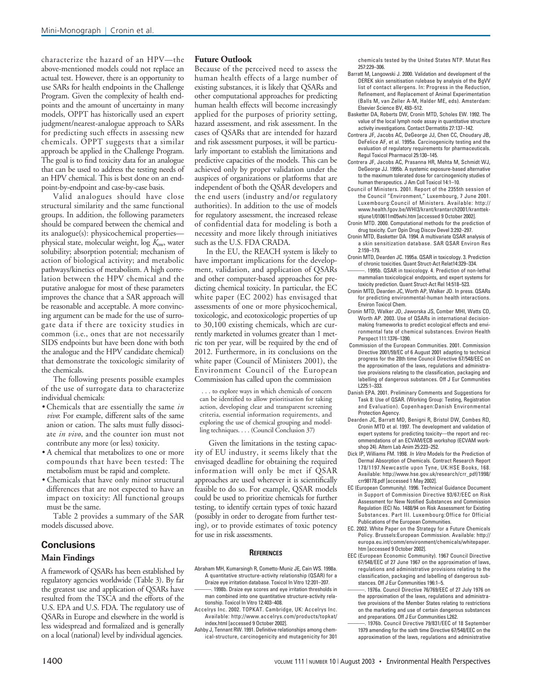characterize the hazard of an HPV—the above-mentioned models could not replace an actual test. However, there is an opportunity to use SARs for health endpoints in the Challenge Program. Given the complexity of health endpoints and the amount of uncertainty in many models, OPPT has historically used an expert judgment/nearest-analogue approach to SARs for predicting such effects in assessing new chemicals. OPPT suggests that a similar approach be applied in the Challenge Program. The goal is to find toxicity data for an analogue that can be used to address the testing needs of an HPV chemical. This is best done on an endpoint-by-endpoint and case-by-case basis.

Valid analogues should have close structural similarity and the same functional groups. In addition, the following parameters should be compared between the chemical and its analogue(s): physicochemical properties physical state, molecular weight, log *K*ow, water solubility; absorption potential; mechanism of action of biological activity; and metabolic pathways/kinetics of metabolism. A high correlation between the HPV chemical and the putative analogue for most of these parameters improves the chance that a SAR approach will be reasonable and acceptable. A more convincing argument can be made for the use of surrogate data if there are toxicity studies in common (i.e., ones that are not necessarily SIDS endpoints but have been done with both the analogue and the HPV candidate chemical) that demonstrate the toxicologic similarity of the chemicals.

The following presents possible examples of the use of surrogate data to characterize individual chemicals:

- *•* Chemicals that are essentially the same *in vivo*: For example, different salts of the same anion or cation. The salts must fully dissociate *in vivo*, and the counter ion must not contribute any more (or less) toxicity.
- *•* A chemical that metabolizes to one or more compounds that have been tested: The metabolism must be rapid and complete.
- *•* Chemicals that have only minor structural differences that are not expected to have an impact on toxicity: All functional groups must be the same.

Table 2 provides a summary of the SAR models discussed above.

### **Conclusions Main Findings**

A framework of QSARs has been established by regulatory agencies worldwide (Table 3). By far the greatest use and application of QSARs have resulted from the TSCA and the efforts of the U.S. EPA and U.S. FDA. The regulatory use of QSARs in Europe and elsewhere in the world is less widespread and formalized and is generally on a local (national) level by individual agencies.

#### **Future Outlook**

Because of the perceived need to assess the human health effects of a large number of existing substances, it is likely that QSARs and other computational approaches for predicting human health effects will become increasingly applied for the purposes of priority setting, hazard assessment, and risk assessment. In the cases of QSARs that are intended for hazard and risk assessment purposes, it will be particularly important to establish the limitations and predictive capacities of the models. This can be achieved only by proper validation under the auspices of organizations or platforms that are independent of both the QSAR developers and the end users (industry and/or regulatory authorities). In addition to the use of models for regulatory assessment, the increased release of confidential data for modeling is both a necessity and more likely through initiatives such as the U.S. FDA CRADA.

In the EU, the REACH system is likely to have important implications for the development, validation, and application of QSARs and other computer-based approaches for predicting chemical toxicity. In particular, the EC white paper (EC 2002) has envisaged that assessments of one or more physicochemical, toxicologic, and ecotoxicologic properties of up to 30,100 existing chemicals, which are currently marketed in volumes greater than 1 metric ton per year, will be required by the end of 2012. Furthermore, in its conclusions on the white paper (Council of Ministers 2001), the Environment Council of the European Commission has called upon the commission

. . . to explore ways in which chemicals of concern can be identified to allow prioritisation for taking action, developing clear and transparent screening criteria, essential information requirements, and exploring the use of chemical grouping and modelling techniques. . . . (Council Conclusion 37)

Given the limitations in the testing capacity of EU industry, it seems likely that the envisaged deadline for obtaining the required information will only be met if QSAR approaches are used wherever it is scientifically feasible to do so. For example, QSAR models could be used to prioritize chemicals for further testing, to identify certain types of toxic hazard (possibly in order to derogate from further testing), or to provide estimates of toxic potency for use in risk assessments.

#### **REFERENCES**

- Abraham MH, Kumarsingh R, Cometto-Muniz JE, Cain WS. 1998a. A quantitative structure-activity relationship (QSAR) for a Draize eye irritation database. Toxicol In Vitro 12:201–207.
- 1998b. Draize eye scores and eye irritation thresholds in man combined into one quantitative structure-activity relationship. Toxicol In Vitro 12:403–408.
- Accelrys Inc. 2002. TOPKAT. Cambridge, UK: Accelrys Inc. Available: http://www.accelrys.com/products/topkat/ index.html [accessed 9 October 2002].
- Ashby J, Tennant RW. 1991. Definitive relationships among chemical-structure, carcinogenicity and mutagenicity for 301

chemicals tested by the United States NTP. Mutat Res 257:229–306.

- Barratt M, Langowski J. 2000. Validation and development of the DEREK skin sensitisation rulebase by analysis of the BgVV list of contact allergens. In: Progress in the Reduction, Refinement, and Replacement of Animal Experimentation (Balls M, van Zeller A-M, Halder ME, eds). Amsterdam: Elsevier Science BV, 493–512.
- Basketter DA, Roberts DW, Cronin MTD, Scholes EW. 1992. The value of the local lymph node assay in quantitative structure activity investigations. Contact Dermatitis 27:137–142.
- Contrera JF, Jacobs AC, DeGeorge JJ, Chen CC, Choudary JB, DeFelice AF, et al. 1995a. Carcinogenicity testing and the evaluation of regulatory requirements for pharmaceuticals. Regul Toxicol Pharmacol 25:130–145.
- Contrera JF, Jacobs AC, Prasanna HR, Mehta M, Schmidt WJ, DeGeorge JJ. 1995b. A systemic exposure-based alternative to the maximum tolerated dose for carcinogenicity studies of human therapeutics. J Am Coll Toxicol 14:1–10.
- Council of Ministers. 2001. Report of the 2355th session of the Council "Environment," Luxembourg, 7 June 2001. Luxembourg:Council of Ministers. Available: http:// www.health.fgov.be/WHI3/krant/krantarch2001/kranttekstiune1/010611m05whi.htm [accessed 9 October 2002].
- Cronin MTD. 2000. Computational methods for the prediction of drug toxicity. Curr Opin Drug Discov Devel 3:292–297.
- Cronin MTD, Basketter DA. 1994. A multivariate QSAR analysis of a skin sensitization database. SAR QSAR Environ Res 2:159–179.
- Cronin MTD, Dearden JC. 1995a. QSAR in toxicology. 3. Prediction of chronic toxicities. Quant Struct-Act Relat14:329–334.
- . 1995b. QSAR in toxicology. 4. Prediction of non-lethal mammalian toxicological endpoints, and expert systems for toxicity prediction. Quant Struct-Act Rel 14:518–523.
- Cronin MTD, Dearden JC, Worth AP, Walker JD. In press. QSARs for predicting environmental-human health interactions. Environ Toxicol Chem.
- Cronin MTD, Walker JD, Jaworska JS, Comber MHI, Watts CD, Worth AP. 2003. Use of QSARs in international decisionmaking frameworks to predict ecological effects and environmental fate of chemical substances. Environ Health Perspect 111:1376–1390.
- Commission of the European Communities. 2001. Commission Directive 2001/59/EC of 6 August 2001 adapting to technical progress for the 28th time Council Directive 67/548/EEC on the approximation of the laws, regulations and administrative provisions relating to the classification, packaging and labelling of dangerous substances. Off J Eur Communities L225:1–333.
- Danish EPA. 2001. Preliminary Comments and Suggestions for Task 8: Use of QSAR. (Working Group: Testing, Registration and Evaluation). Copenhagen:Danish Environmental Protection Agency.
- Dearden JC, Barratt MD, Benigni R, Bristol DW, Combes RD, Cronin MTD et al. 1997. The development and validation of expert systems for predicting toxicity—the report and recommendations of an ECVAM/ECB workshop (ECVAM workshop 24). Altern Lab Anim 25:223–252.
- Dick IP, Williams FM. 1998. *In Vitro* Models for the Prediction of Dermal Absorption of Chemicals. Contract Research Report 178/1197.Newcastle upon Tyne, UK:HSE Books, 168. Available: http://www.hse.gov.uk/research/crr\_pdf/1998/ crr98178.pdf [accessed 1 May 2002].
- EC (European Community). 1996. Technical Guidance Document in Support of Commission Directive 93/67/EEC on Risk Assessment for New Notified Substances and Commission Regulation (EC) No. 1488/94 on Risk Assessment for Existing Substances. Part III. Luxembourg:Office for Official Publications of the European Communities.
- EC. 2002. White Paper on the Strategy for a Future Chemicals Policy. Brussels:European Commission. Available: http:// europa.eu.int/comm/environment/chemicals/whitepaper. htm [accessed 9 October 2002].
- EEC (European Economic Community). 1967 Council Directive 67/548/EEC of 27 June 1967 on the approximation of laws, regulations and administrative provisions relating to the classification, packaging and labelling of dangerous substances. Off J Eur Communities 196:1–5.
	- 1976a. Council Directive 76/769/EEC of 27 July 1976 on the approximation of the laws, regulations and administrative provisions of the Member States relating to restrictions on the marketing and use of certain dangerous substances and preparations. Off J Eur Communities L262.
	- 1976b. Council Directive 79/831/EEC of 18 September 1979 amending for the sixth time Directive 67/548/EEC on the approximation of the laws, regulations and administrative